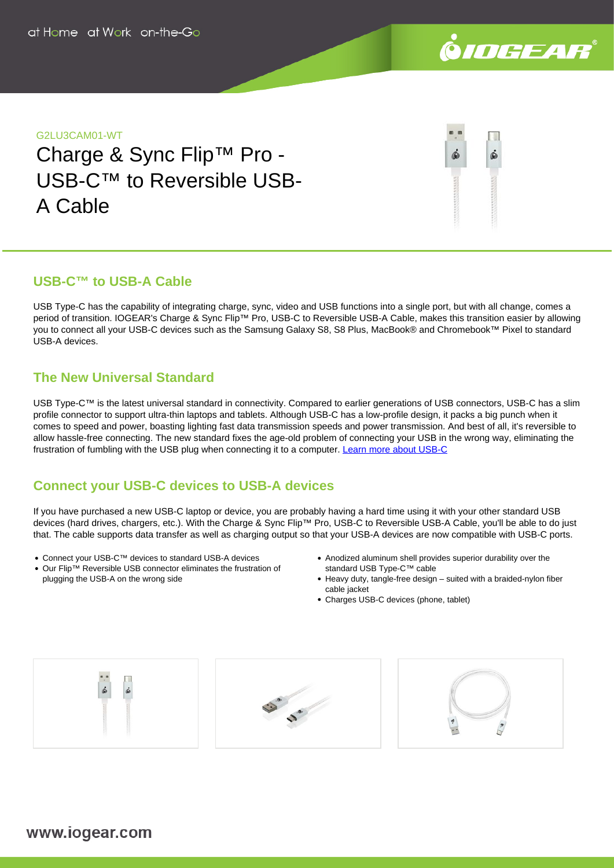

## G2LU3CAM01-WT

Charge & Sync Flip™ Pro - USB-C™ to Reversible USB-A Cable

# **USB-C™ to USB-A Cable**

USB Type-C has the capability of integrating charge, sync, video and USB functions into a single port, but with all change, comes a period of transition. IOGEAR's Charge & Sync Flip™ Pro, USB-C to Reversible USB-A Cable, makes this transition easier by allowing you to connect all your USB-C devices such as the Samsung Galaxy S8, S8 Plus, MacBook® and Chromebook™ Pixel to standard USB-A devices.

# **The New Universal Standard**

USB Type-C™ is the latest universal standard in connectivity. Compared to earlier generations of USB connectors, USB-C has a slim profile connector to support ultra-thin laptops and tablets. Although USB-C has a low-profile design, it packs a big punch when it comes to speed and power, boasting lighting fast data transmission speeds and power transmission. And best of all, it's reversible to allow hassle-free connecting. The new standard fixes the age-old problem of connecting your USB in the wrong way, eliminating the frustration of fumbling with the USB plug when connecting it to a computer. [Learn more about USB-C](https://www.iogear.com/learn/usb-c)

# **Connect your USB-C devices to USB-A devices**

If you have purchased a new USB-C laptop or device, you are probably having a hard time using it with your other standard USB devices (hard drives, chargers, etc.). With the Charge & Sync Flip™ Pro, USB-C to Reversible USB-A Cable, you'll be able to do just that. The cable supports data transfer as well as charging output so that your USB-A devices are now compatible with USB-C ports.

- Connect your USB-C™ devices to standard USB-A devices
- Our Flip™ Reversible USB connector eliminates the frustration of plugging the USB-A on the wrong side
- Anodized aluminum shell provides superior durability over the standard USB Type-C™ cable
- Heavy duty, tangle-free design suited with a braided-nylon fiber cable jacket
- Charges USB-C devices (phone, tablet)

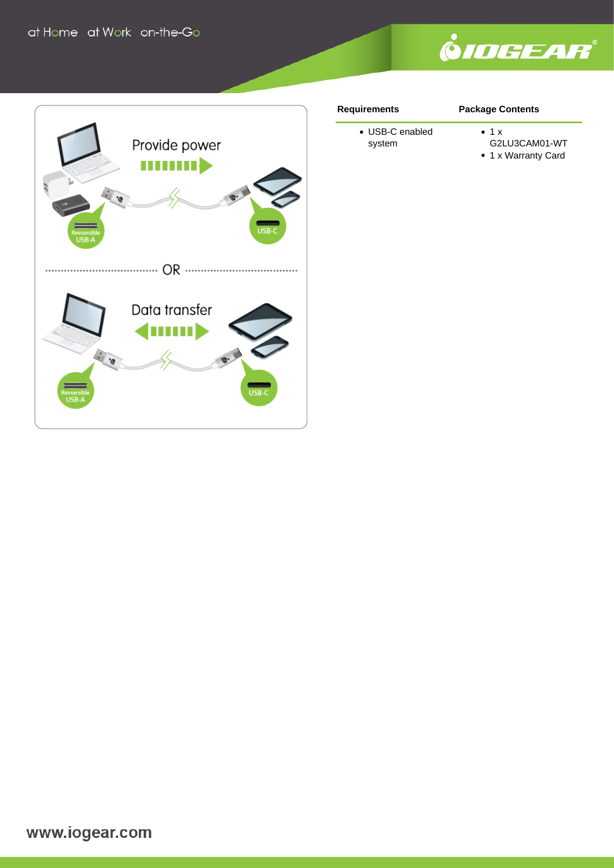



#### **Requirements**

## **Package Contents**

- USB-C enabled system
- $\bullet$  1 x
- G2LU3CAM01-WT
- 1 x Warranty Card